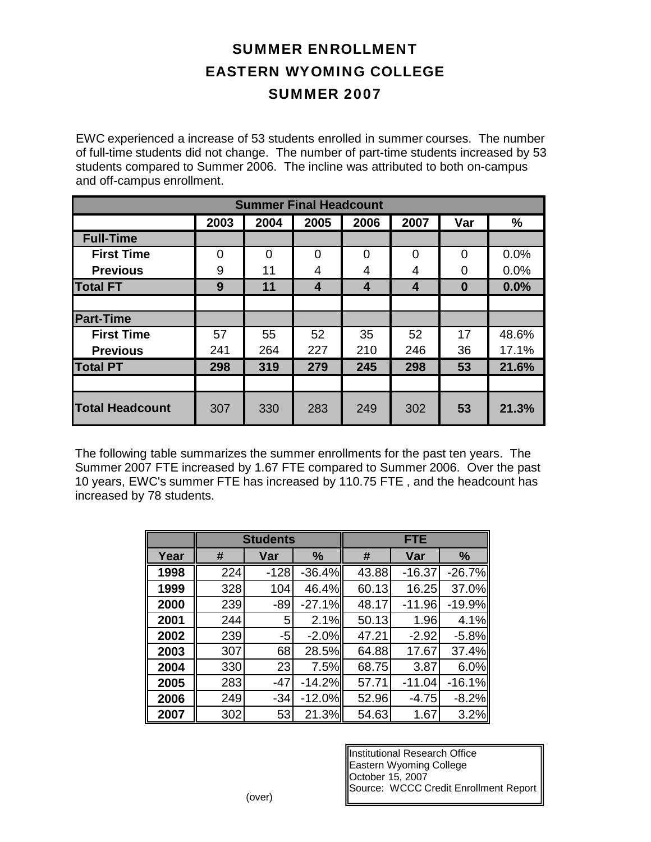## SUMMER ENROLLMENT EASTERN WYOMING COLLEGE SUMMER 2007

EWC experienced a increase of 53 students enrolled in summer courses. The number of full-time students did not change. The number of part-time students increased by 53 students compared to Summer 2006. The incline was attributed to both on-campus and off-campus enrollment.

| <b>Summer Final Headcount</b> |      |          |                |                         |      |          |       |
|-------------------------------|------|----------|----------------|-------------------------|------|----------|-------|
|                               | 2003 | 2004     | 2005           | 2006                    | 2007 | Var      | $\%$  |
| <b>Full-Time</b>              |      |          |                |                         |      |          |       |
| <b>First Time</b>             | 0    | $\Omega$ | $\overline{0}$ | 0                       | 0    | $\Omega$ | 0.0%  |
| <b>Previous</b>               | 9    | 11       | 4              | 4                       | 4    | 0        | 0.0%  |
| <b>Total FT</b>               | 9    | 11       | 4              | $\overline{\mathbf{4}}$ | 4    | $\bf{0}$ | 0.0%  |
|                               |      |          |                |                         |      |          |       |
| <b>Part-Time</b>              |      |          |                |                         |      |          |       |
| <b>First Time</b>             | 57   | 55       | 52             | 35                      | 52   | 17       | 48.6% |
| <b>Previous</b>               | 241  | 264      | 227            | 210                     | 246  | 36       | 17.1% |
| <b>Total PT</b>               | 298  | 319      | 279            | 245                     | 298  | 53       | 21.6% |
|                               |      |          |                |                         |      |          |       |
| <b>Total Headcount</b>        | 307  | 330      | 283            | 249                     | 302  | 53       | 21.3% |

The following table summarizes the summer enrollments for the past ten years. The Summer 2007 FTE increased by 1.67 FTE compared to Summer 2006. Over the past 10 years, EWC's summer FTE has increased by 110.75 FTE , and the headcount has increased by 78 students.

|      | <b>Students</b> |        |               | <b>FTE</b> |          |          |  |
|------|-----------------|--------|---------------|------------|----------|----------|--|
| Year | #               | Var    | $\frac{9}{6}$ | #          | Var      | %        |  |
| 1998 | 224             | $-128$ | $-36.4%$      | 43.88      | $-16.37$ | $-26.7%$ |  |
| 1999 | 328             | 104    | 46.4%         | 60.13      | 16.25    | 37.0%    |  |
| 2000 | 239             | $-89$  | $-27.1%$      | 48.17      | $-11.96$ | $-19.9%$ |  |
| 2001 | 244             | 5      | 2.1%          | 50.13      | 1.96     | 4.1%     |  |
| 2002 | 239             | -5     | $-2.0%$       | 47.21      | $-2.92$  | $-5.8%$  |  |
| 2003 | 307             | 68     | 28.5%         | 64.88      | 17.67    | 37.4%    |  |
| 2004 | 330             | 23     | 7.5%          | 68.75      | 3.87     | 6.0%     |  |
| 2005 | 283             | $-47$  | $-14.2%$      | 57.71      | $-11.04$ | $-16.1%$ |  |
| 2006 | 249             | $-34$  | $-12.0%$      | 52.96      | $-4.75$  | $-8.2%$  |  |
| 2007 | 302             | 53     | 21.3%         | 54.63      | 1.67     | 3.2%     |  |

Institutional Research Office Eastern Wyoming College October 15, 2007 Source: WCCC Credit Enrollment Report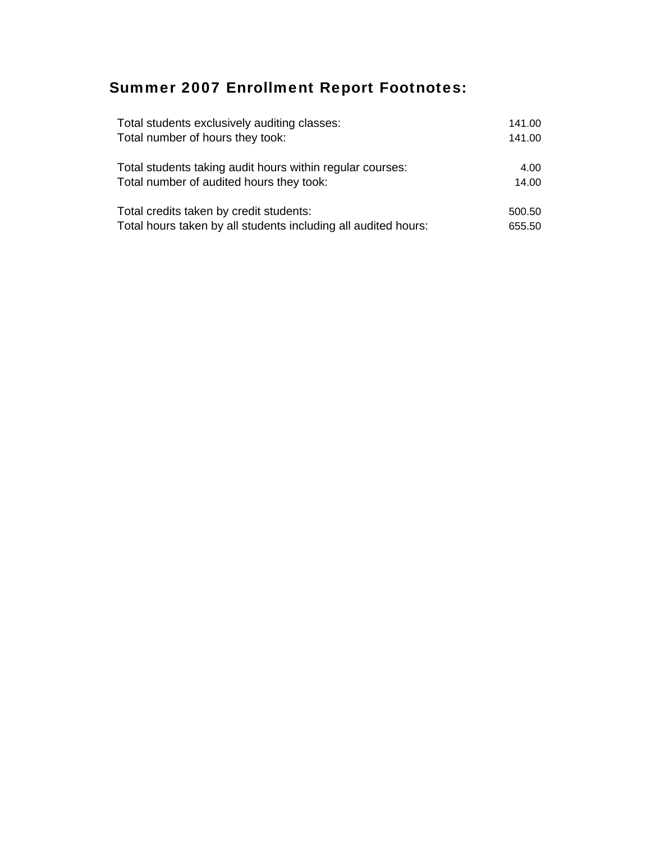## Summer 2007 Enrollment Report Footnotes:

| Total students exclusively auditing classes:                   | 141.00 |
|----------------------------------------------------------------|--------|
| Total number of hours they took:                               | 141.00 |
| Total students taking audit hours within regular courses:      | 4.00   |
| Total number of audited hours they took:                       | 14.00  |
| Total credits taken by credit students:                        | 500.50 |
| Total hours taken by all students including all audited hours: | 655.50 |